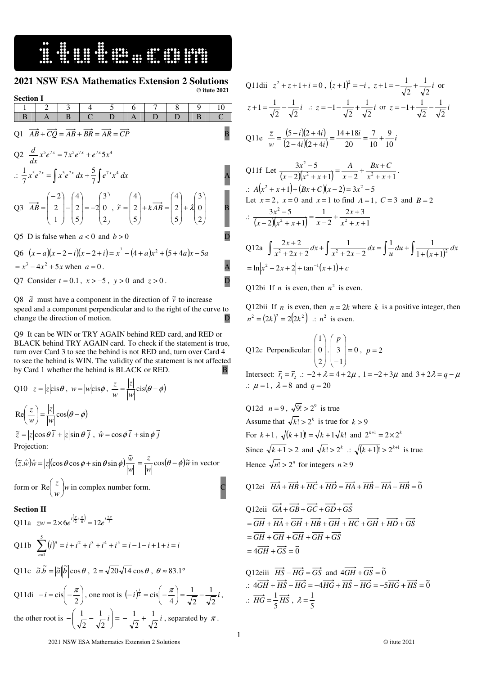16. SINGLES SERVICES

 $\overline{a}$ 

### **2021 NSW ESA Mathematics Extension 2 Solutions**  © **itute 2021**

**Section I**  1 2 3 4 5 6 7 8 9 10  $B$   $A$   $B$   $C$   $D$   $A$   $D$   $D$   $B$   $C$  $Q1 \overrightarrow{AB} + \overrightarrow{CQ} = \overrightarrow{AB} + \overrightarrow{BR} = \overrightarrow{AR} = \overrightarrow{CP}$  B Q2  $\frac{d}{dx}x^5e^{7x} = 7x^5e^{7x} + e^{7x}5x^4$  $\frac{d}{dx} x^5 e^{7x} = 7x^5 e^{7x} + e^{7x} 5x^4$ ∴  $\frac{1}{7}x^5e^{7x} = \int x^5e^{7x} dx + \frac{5}{7}\int e^{7x}x^4 dx$ 5 7 1 A Q3  $\overline{\phantom{a}}$  $\overline{\phantom{a}}$  $\overline{\phantom{a}}$ J )  $\mathsf{I}$  $\parallel$  $\mathbf{I}$ ∖ ſ = −  $\overline{\phantom{a}}$  $\overline{\phantom{a}}$  $\overline{\phantom{a}}$ J )  $\mathsf{I}$  $\mathbb{I}$  $\mathsf{L}$ L ſ −  $\overline{\phantom{a}}$  $\overline{\phantom{a}}$  $\mathbf{I}$ J  $\backslash$  $\mathsf{I}$  $\mathbb{I}$  $\mathsf{L}$ L − = 2 0 3 2 5 2 4 1 2 2  $AB = \begin{vmatrix} 2 & -2 \\ -2 & -2 \end{vmatrix}$  $\overline{\phantom{a}}$  $\overline{\phantom{a}}$  $\mathbf{I}$ J  $\backslash$  $\mathsf{I}$  $\mathbb{I}$  $\mathsf{L}$ L ſ +  $\overline{\phantom{a}}$  $\overline{\phantom{a}}$  $\overline{\phantom{a}}$ J  $\backslash$  $\mathsf{I}$  $\mathbb{I}$  $\mathbf{r}$ L ſ  $+ kAB =$  $\overline{\phantom{a}}$  $\overline{\phantom{a}}$  $\mathbf{I}$ J  $\backslash$  $\mathsf{I}$  $\mathbf{r}$  $\mathbf{I}$ ∖ ſ = 2 0 3 5 2 4 5 2 4  $\vec{r} = 2 \mid +k \overrightarrow{AB} = 2 \mid + \lambda \mid 0 \mid$  **B** Q5 D is false when  $a < 0$  and  $b > 0$ Q6  $(x-a)(x-2-i)(x-2+i) = x^3 - (4+a)x^2 + (5+4a)x - 5a$  $x^3 - 4x^2 + 5x$  when  $a = 0$ .

Q7 Consider  $t = 0.1$ ,  $x > -5$ ,  $y > 0$  and  $z > 0$ .

Q8  $\tilde{a}$  must have a component in the direction of  $\tilde{v}$  to increase speed and a component perpendicular and to the right of the curve to change the direction of motion. D

Q9 It can be WIN or TRY AGAIN behind RED card, and RED or BLACK behind TRY AGAIN card. To check if the statement is true, turn over Card 3 to see the behind is not RED and, turn over Card 4 to see the behind is WIN. The validity of the statement is not affected by Card 1 whether the behind is BLACK or RED. B

*z*<sub>*z*</sub>

Q10 
$$
z = |z| \text{cis} \theta
$$
,  $w = |w| \text{cis} \phi$ ,  $\frac{z}{w} = \frac{|z|}{|w|} \text{cis}(\theta - \phi)$   
\nRe $\left(\frac{z}{w}\right) = \frac{|z|}{|w|} \text{cos}(\theta - \phi)$   
\n $\tilde{z} = |z| \text{cos} \theta \tilde{i} + |z| \text{sin} \theta \tilde{j}$ ,  $\hat{w} = \text{cos} \phi \tilde{i} + \text{sin} \phi \tilde{j}$   
\nProjection:

 $(\tilde{z}. \hat{w})\hat{w} = |z|(\cos\theta\cos\phi + \sin\theta\sin\phi)\frac{w}{|w|}$  $(z, \hat{w})\hat{w} = |z|(\cos\theta\cos\phi + \sin\theta\sin\phi)\frac{\tilde{w}}{|\theta|^2}$  $(\vec{z} \cdot \hat{w})\hat{w} = |z|(\cos\theta\cos\phi + \sin\theta\sin\phi)\frac{\tilde{w}}{|w|} = \frac{|z|}{|w|}\cos(\theta - \phi)\tilde{w}$  in vector form or  $\text{Re} \left( \frac{2}{w} \right) w$ *z* J  $\left(\frac{z}{z}\right)$ l  $\text{Re} \left( \frac{z}{z} \right)$  w in complex number form.

#### **Section II**

Q11a 
$$
zw = 2 \times 6e^{i(\frac{\pi}{2} + \frac{\pi}{6})} = 12e^{i\frac{2\pi}{3}}
$$
  
\nQ11b  $\sum_{n=1}^{5} (i)^n = i + i^2 + i^3 + i^4 + i^5 = i - 1 - i + 1 + i = i$   
\nQ11c  $\tilde{a} \tilde{b} = |\tilde{a}||\tilde{b}| \cos \theta$ ,  $2 = \sqrt{20}\sqrt{14} \cos \theta$ ,  $\theta \approx 83.1^{\circ}$ 

Q11di  $-i = \text{cis}\left(-\frac{\pi}{2}\right)$  $\left(-\frac{\pi}{\cdot}\right)$ l  $-i = \text{cis}\left(-\frac{\pi}{2}\right)$ , one root is  $(-i)^{\frac{1}{2}} = \text{cis}\left(-\frac{\pi}{4}\right) = \frac{1}{\sqrt{2}} - \frac{1}{\sqrt{2}}i$ 1 2 1  $\frac{1}{2} = \text{cis}\left(-\frac{\pi}{4}\right) = \frac{1}{\sqrt{2}} \left(-\frac{\pi}{4}\right)$ l  $(-i)^{\frac{1}{2}} = \text{cis}\left(-\frac{\pi}{i}\right) = \frac{1}{\sqrt{2}} - \frac{1}{\sqrt{2}}i$ , the other root is  $-\left| \frac{1}{\sqrt{2}} - \frac{1}{\sqrt{2}} i \right| =$ J  $\backslash$  $\overline{\phantom{a}}$ l  $-\left(\frac{1}{\sqrt{r}}-\frac{1}{\sqrt{r}}i\right)$ 2 1 2  $\left(\frac{1}{\sqrt{2}} - \frac{1}{\sqrt{2}}i\right) = -\frac{1}{\sqrt{2}} + \frac{1}{\sqrt{2}}i$ 2 1 2  $-\frac{1}{\sqrt{2}} + \frac{1}{\sqrt{2}}i$ , separated by  $\pi$ .

Q11dii 
$$
z^2 + z + 1 + i = 0
$$
,  $(z+1)^2 = -i$ ,  $z+1 = -\frac{1}{\sqrt{2}} + \frac{1}{\sqrt{2}}i$  or  
\n $z+1 = \frac{1}{\sqrt{2}} - \frac{1}{\sqrt{2}}i$   $\therefore z = -1 - \frac{1}{\sqrt{2}} + \frac{1}{\sqrt{2}}i$  or  $z = -1 + \frac{1}{\sqrt{2}} - \frac{1}{\sqrt{2}}i$   
\nQ11e  $\frac{\overline{z}}{w} = \frac{(5-i)(2+4i)}{(2-4i)(2+4i)} = \frac{14+18i}{20} = \frac{7}{10} + \frac{9}{10}i$ 

Q11f Let 
$$
\frac{3x^2 - 5}{(x - 2)(x^2 + x + 1)} = \frac{A}{x - 2} + \frac{Bx + C}{x^2 + x + 1}.
$$
  
\n $\therefore A(x^2 + x + 1) + (Bx + C)(x - 2) = 3x^2 - 5$   
\nLet  $x = 2$ ,  $x = 0$  and  $x = 1$  to find  $A = 1$ ,  $C = 3$  and  $B = 2$   
\n $\therefore \frac{3x^2 - 5}{(x - 2)(x^2 + x + 1)} = \frac{1}{x - 2} + \frac{2x + 3}{x^2 + x + 1}$ 

Q12a 
$$
\int \frac{2x+2}{x^2+2x+2} dx + \int \frac{1}{x^2+2x+2} dx = \int \frac{1}{u} du + \int \frac{1}{1+(x+1)^2} dx
$$

$$
= \ln|x^2 + 2x + 2| + \tan^{-1}(x+1) + c
$$

Q12bi If *n* is even, then  $n^2$  is even.

Q12bii If *n* is even, then  $n = 2k$  where *k* is a positive integer, then  $n^2 = (2k)^2 = 2(2k^2)$  :  $n^2$  is even.

Q12c Perpendicular:  $\begin{vmatrix} 0 & 0 \\ 0 & 0 \end{vmatrix}$  = 0 1  $\begin{array}{c|c} \hline \end{array}$ 2  $\boldsymbol{0}$ 1 =  $\overline{\phantom{a}}$  $\overline{\phantom{a}}$  $\overline{\phantom{a}}$ J )  $\mathsf{I}$  $\mathbf{r}$  $\mathsf{I}$ ∖ ſ −  $\overline{\phantom{a}}$  $\overline{\phantom{a}}$ J  $\backslash$  $\mathbf{I}$  $\mathbf{r}$  $\mathbf{I}$ l *p*  $, p = 2$ 

Intersect:  $\tilde{r}_1 = \tilde{r}_2$  .:  $-2 + \lambda = 4 + 2\mu$ ,  $1 = -2 + 3\mu$  and  $3 + 2\lambda = q - \mu$  $\therefore \mu = 1$ ,  $\lambda = 8$  and  $q = 20$ 

Q12d 
$$
n = 9
$$
,  $\sqrt{9!} > 2^9$  is true  
\nAssume that  $\sqrt{k!} > 2^k$  is true for  $k > 9$   
\nFor  $k+1$ ,  $\sqrt{k+1!} = \sqrt{k+1}\sqrt{k!}$  and  $2^{k+1} = 2 \times 2^k$   
\nSince  $\sqrt{k+1} > 2$  and  $\sqrt{k!} > 2^k$  :  $\sqrt{k+1!} > 2^{k+1}$  is true  
\nHence  $\sqrt{n!} > 2^n$  for integers  $n \ge 9$ 

Q12ei 
$$
\overrightarrow{HA} + \overrightarrow{HB} + \overrightarrow{HC} + \overrightarrow{HD} = \overrightarrow{HA} + \overrightarrow{HB} - \overrightarrow{HA} - \overrightarrow{HB} = \overrightarrow{0}
$$

Q12eii 
$$
\overrightarrow{GA} + \overrightarrow{GB} + \overrightarrow{GC} + \overrightarrow{GD} + \overrightarrow{GS}
$$
  
\n
$$
= \overrightarrow{GH} + \overrightarrow{HA} + \overrightarrow{GH} + \overrightarrow{HB} + \overrightarrow{GH} + \overrightarrow{HC} + \overrightarrow{GH} + \overrightarrow{HD} + \overrightarrow{GS}
$$
\n
$$
= \overrightarrow{GH} + \overrightarrow{GH} + \overrightarrow{GH} + \overrightarrow{GH} + \overrightarrow{GS}
$$
\n
$$
= 4\overrightarrow{GH} + \overrightarrow{GS} = \overrightarrow{0}
$$

Q12eiii 
$$
\overrightarrow{HS} - \overrightarrow{HG} = \overrightarrow{GS}
$$
 and  $4\overrightarrow{GH} + \overrightarrow{GS} = \tilde{0}$   
\n
$$
\therefore 4\overrightarrow{GH} + \overrightarrow{HS} - \overrightarrow{HG} = -4\overrightarrow{HG} + \overrightarrow{HS} - \overrightarrow{HG} = -5\overrightarrow{HG} + \overrightarrow{HS} = \tilde{0}
$$
\n
$$
\therefore \overrightarrow{HG} = \frac{1}{5}\overrightarrow{HS}, \ \lambda = \frac{1}{5}
$$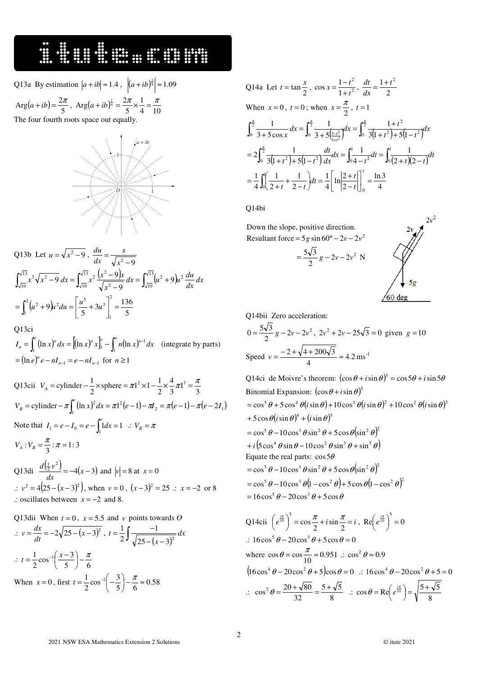### 

- Q13a By estimation  $|a + ib| \approx 1.4$ ,  $|(a + ib)^{\frac{1}{4}}| \approx 1.09$
- $(a + ib) = \frac{27}{5}$  $Arg(a+ib) = \frac{2\pi}{5}$ ,  $Arg(a+ib)^{\frac{1}{4}} = \frac{2\pi}{5} \times \frac{1}{4} = \frac{\pi}{10}$ 1 5  $Arg(a+ib)^{\frac{1}{4}} = \frac{2\pi}{5} \times \frac{1}{4} = \frac{\pi}{10}$

The four fourth roots space out equally



Q13b Let 
$$
u = \sqrt{x^2 - 9}
$$
,  $\frac{du}{dx} = \frac{x}{\sqrt{x^2 - 9}}$   
\n
$$
\int_{\sqrt{10}}^{\sqrt{13}} x^3 \sqrt{x^2 - 9} dx = \int_{\sqrt{10}}^{\sqrt{13}} x^2 \frac{(x^2 - 9)x}{\sqrt{x^2 - 9}} dx = \int_{\sqrt{10}}^{\sqrt{13}} (u^2 + 9) u^2 \frac{du}{dx} dx
$$
\n
$$
= \int_{1}^{2} (u^2 + 9) u^2 du = \left[ \frac{u^5}{5} + 3u^3 \right]_{1}^{2} = \frac{136}{5}
$$
\nQ13ci

 $I_n = \int_1^e (\ln x)^n dx = \left[ (\ln x)^n x \right]_1^e - \int_1^e n (\ln x)^{n-1} dx$  $\int_{1}^{\infty} (\ln x)^{n} dx = [(\ln x)^{n} x]_{1}^{e} - \int_{1}^{x} n(\ln x)^{n-1} dx$  (integrate by parts)  $= (\ln e)^n e - nI_{n-1} = e - nI_{n-1}$  for  $n \ge 1$ 

Q13cii  $V_A$  = cylinder  $-\frac{1}{2} \times \text{sphere} = \pi 1^2 \times 1 - \frac{1}{2} \times \frac{1}{3} \pi 1^3 = \frac{\pi}{3}$ 4 2  $\frac{1}{2} \times \text{sphere} = \pi 1^2 \times 1 - \frac{1}{2}$  $V_A$  = cylinder  $-\frac{1}{2} \times \text{sphere} = \pi l^2 \times 1 - \frac{1}{2} \times \frac{4}{2} \pi l^3 = \frac{\pi}{2}$  $(\ln x)^2 dx = \pi 1^2 (e-1) - \pi I_2 = \pi (e-1) - \pi (e-2I_1)$ 1  $V_B$  = cylinder  $-\pi \int_1^e (\ln x)^2 dx = \pi 1^2 (e-1) - \pi I_2 = \pi (e-1) - \pi (e-2I_1)$ Note that  $I_1 = e - I_0 = e - \int_1^e 1 dx = 1$  :  $V_B = \pi$ 1  $V_A$  :  $V_B = \frac{\pi}{3}$  :  $\pi = 1:3$ Q13di  $\frac{d(\frac{1}{2}v^2)}{dx} = -4(x-3)$  $\frac{d(\frac{1}{2}v^2)}{dx^2}$  = -4(x-3) and  $|v|$  = 8 at x = 0  $\therefore$   $v^2 = 4(25 - (x - 3)^2)$ , when  $v = 0$ ,  $(x - 3)^2 = 25$  ∴  $x = -2$  or 8 .: oscillates between  $x = -2$  and 8.

Q13dii When  $t = 0$ ,  $x = 5.5$  and  $v$  points towards O .:  $v = \frac{dx}{dt} = -2\sqrt{25 - (x - 3)^2}$  $v = \frac{dx}{dt} = -2\sqrt{25 - (x - 3)^2}$ ,  $t = \frac{1}{2} \int \frac{-1}{\sqrt{25 - (x - 3)^2}}$  $=\frac{1}{2}\int \frac{-1}{\sqrt{1-x^2}} dx$ *x*  $t = \frac{1}{2}$ ]  $\frac{1}{\sqrt{25 - (x - 3)^2}}$ 1 2 1  $\therefore t = \frac{1}{2} \cos^{-1} \left( \frac{x-5}{5} \right) - \frac{\pi}{6}$  $\frac{1}{2}$  cos<sup>-1</sup> $\left(\frac{x-3}{5}\right)$  $\frac{1}{2}$  cos<sup>-1</sup> $\left(\frac{x-3}{5}\right)$  -  $\frac{\pi}{6}$  $\left(\frac{x-3}{2}\right)$ l  $t = \frac{1}{2} \cos^{-1} \left( \frac{x-1}{2} \right)$ When  $x = 0$ , first  $t = \frac{1}{2} \cos^{-1} \left(-\frac{3}{5}\right) - \frac{\pi}{6} \approx 0.58$  $\frac{1}{2}$  cos<sup>-1</sup> $\left(-\frac{3}{5}\right)$  $\frac{1}{2}\cos^{-1}\left(-\frac{3}{5}\right)-\frac{\pi}{6} \approx$  $\left(-\frac{3}{5}\right)$ l  $t = \frac{1}{2} \cos^{-1} \left( -\frac{3}{7} \right) - \frac{\pi}{6}$ 

Q14a Let 
$$
t = \tan \frac{x}{2}
$$
,  $\cos x = \frac{1 - t^2}{1 + t^2}$ ,  $\frac{dt}{dx} = \frac{1 + t^2}{2}$   
\nWhen  $x = 0$ ,  $t = 0$ ; when  $x = \frac{\pi}{2}$ ,  $t = 1$   
\n
$$
\int_0^{\frac{\pi}{2}} \frac{1}{3 + 5 \cos x} dx = \int_0^{\frac{\pi}{2}} \frac{1}{3 + 5 \left(\frac{1 - t^2}{1 + t^2}\right)} dx = \int_0^{\frac{\pi}{2}} \frac{1 + t^2}{3 \left(1 + t^2\right) + 5 \left(1 - t^2\right)} dx
$$
\n
$$
= 2 \int_0^{\frac{\pi}{2}} \frac{1}{3 \left(1 + t^2\right) + 5 \left(1 - t^2\right)} dx = \int_0^1 \frac{1}{4 - t^2} dt = \int_0^1 \frac{1}{(2 + t)(2 - t)} dt
$$
\n
$$
= \frac{1}{4} \int_0^1 \left(\frac{1}{2 + t} + \frac{1}{2 - t}\right) dt = \frac{1}{4} \left[\ln \left|\frac{2 + t}{2 - t}\right|\right]_0^1 = \frac{\ln 3}{4}
$$

Q14bi

 $\overline{a}$ 

 Down the slope, positive direction. Resultant force =  $5g \sin 60^\circ - 2v - 2v^2$ 



Q14bii Zero acceleration:

 $\frac{\sqrt{3}}{2}g - 2v - 2v^2$  $0 = \frac{5\sqrt{3}}{2}g - 2v - 2v^2$ ,  $2v^2 + 2v - 25\sqrt{3} = 0$  given  $g = 10$ Speed  $v = \frac{2 + \sqrt{1 + 200 \sqrt{3}}}{4} \approx 4.2$  $v = \frac{-2 + \sqrt{4 + 200\sqrt{3}}}{4} \approx 4.2 \text{ ms}^{-1}$ 

 $\frac{\sqrt{3}}{2}g - 2v - 2v^2$  $=\frac{5\sqrt{3}}{2}g-2v-2v^2$  N

Q14ci de Moivre's theorem:  $(\cos \theta + i \sin \theta)^5 = \cos 5\theta + i \sin 5\theta$ Binomial Expansion:  $(\cos \theta + i \sin \theta)^5$  $=$ cos<sup>5</sup>  $\theta$  + 5 cos<sup>4</sup>  $\theta$ (*i* sin  $\theta$ ) + 10 cos<sup>3</sup>  $\theta$ (*i* sin  $\theta$ )<sup>2</sup> + 10 cos<sup>2</sup>  $\theta$ (*i* sin  $\theta$ )<sup>3</sup> +  $5 \cos \theta (i \sin \theta)^4 + (i \sin \theta)^5$  $=\cos^5 \theta - 10\cos^3 \theta \sin^2 \theta + 5\cos \theta (\sin^2 \theta)^2$  $+i\left( 5\cos^4 \theta \sin \theta - 10\cos^2 \theta \sin^3 \theta + \sin^5 \theta \right)$ Equate the real parts:  $\cos 5\theta$  $\cos^5 \theta - 10 \cos^3 \theta \sin^2 \theta + 5 \cos \theta (\sin^2 \theta)^2$  $=$   $\cos^5 \theta - 10 \cos^3 \theta \left(1 - \cos^2 \theta\right) + 5 \cos \theta \left(1 - \cos^2 \theta\right)^2$  $= 16 \cos^5 \theta - 20 \cos^3 \theta + 5 \cos \theta$ 

Q14cii 
$$
\left(e^{\frac{i\pi}{10}}\right)^5 = \cos{\frac{\pi}{2}} + i\sin{\frac{\pi}{2}} = i
$$
, Re $\left(e^{\frac{i\pi}{10}}\right)^5 = 0$   
\n $\therefore 16\cos^5{\theta} - 20\cos^3{\theta} + 5\cos{\theta} = 0$   
\nwhere  $\cos{\theta} = \cos{\frac{\pi}{10}} \approx 0.951$   $\therefore \cos^2{\theta} \approx 0.9$   
\n $\left(16\cos^4{\theta} - 20\cos^2{\theta} + 5\right)\cos{\theta} = 0$   $\therefore 16\cos^4{\theta} - 20\cos^2{\theta} + 5 = 0$   
\n $\therefore \cos^2{\theta} = \frac{20 + \sqrt{80}}{32} = \frac{5 + \sqrt{5}}{8}$   $\therefore \cos{\theta} = \text{Re}\left(e^{\frac{i\pi}{10}}\right) = \sqrt{\frac{5 + \sqrt{5}}{8}}$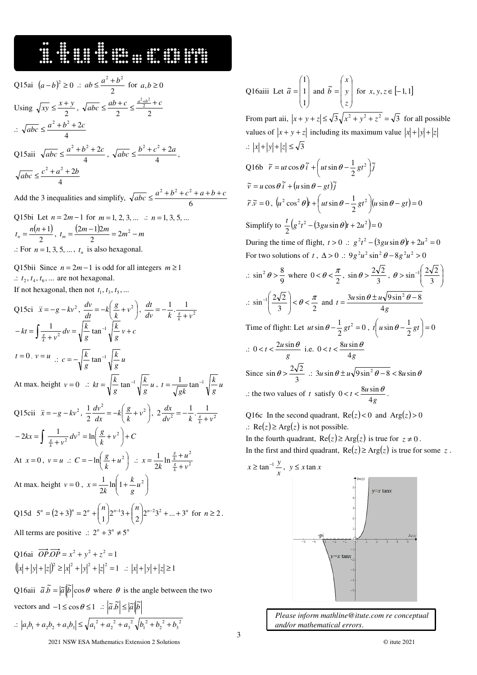## 

 $\overline{a}$ 

Q15ai 
$$
(a-b)^2 \ge 0
$$
 ::  $ab \le \frac{a^2 + b^2}{2}$  for  $a,b \ge 0$   
\nUsing  $\sqrt{xy} \le \frac{x+y}{2}$ ,  $\sqrt{abc} \le \frac{ab+c}{2} \le \frac{\frac{a^2+b^2}{2}+c}{2}$   
\n $\therefore \sqrt{abc} \le \frac{a^2+b^2+2c}{4}$   
\nQ15aii  $\sqrt{abc} \le \frac{a^2+b^2+2c}{4}$ ,  $\sqrt{abc} \le \frac{b^2+c^2+2a}{4}$ ,  
\n $\sqrt{abc} \le \frac{c^2+a^2+2b}{4}$ 

Add the 3 inequalities and simplify,  $\sqrt{abc} \leq \frac{a+b+c}{6}$  $\frac{a^2 + b^2 + c^2 + a + b + c}{a}$ 

Q15bi Let  $n = 2m - 1$  for  $m = 1, 2, 3, ...$   $\therefore$   $n = 1, 3, 5, ...$  $(n+1)$ 2  $t_n = \frac{n(n+1)}{2}, t_m = \frac{(2m-1)2m}{2} = 2m^2 - m$  $(2m-1)2$  $\therefore$  For  $n = 1, 3, 5, \dots, t_n$  is also hexagonal.

Q15bii Since  $n = 2m - 1$  is odd for all integers  $m \ge 1$  $\therefore$   $t_2, t_4, t_6, \dots$  are not hexagonal. If not hexagonal, then not  $t_1, t_3, t_5, \ldots$ 

Q15ci 
$$
\ddot{x} = -g - kv^2
$$
,  $\frac{dv}{dt} = -k\left(\frac{g}{k} + v^2\right)$ ,  $\frac{dt}{dv} = -\frac{1}{k} \cdot \frac{1}{\frac{s}{k} + v^2}$   
\n $-kt = \int \frac{1}{\frac{s}{k} + v^2} dv = \sqrt{\frac{k}{g}} \tan^{-1} \sqrt{\frac{k}{g}} v + c$   
\n $t = 0, v = u$   $\therefore c = -\sqrt{\frac{k}{g}} \tan^{-1} \sqrt{\frac{k}{g}} u$   
\nAt max. height  $v = 0$   $\therefore kt = \sqrt{\frac{k}{g}} \tan^{-1} \sqrt{\frac{k}{g}} u$ ,  $t = \frac{1}{\sqrt{g}k} \tan^{-1} \sqrt{\frac{k}{g}} u$   
\nQ15cii  $\ddot{x} = -g - kv^2$ ,  $\frac{1}{2} \frac{dv^2}{dx} = -k\left(\frac{g}{k} + v^2\right)$ ,  $2 \frac{dx}{dv^2} = -\frac{1}{k} \cdot \frac{1}{\frac{s}{k} + v^2}$   
\n $-2kx = \int \frac{1}{\frac{s}{k} + v^2} dv^2 = \ln\left(\frac{g}{k} + v^2\right) + C$   
\nAt  $x = 0$ ,  $v = u$   $\therefore C = -\ln\left(\frac{g}{k} + u^2\right)$   $\therefore x = \frac{1}{2k} \ln \frac{\frac{s}{k} + u^2}{\frac{s}{k} + v^2}$   
\nAt max. height  $v = 0$ ,  $x = \frac{1}{2k} \ln\left(1 + \frac{k}{g}u^2\right)$   
\nQ15d  $5^n = (2 + 3)^n = 2^n + {n \choose 1} 2^{n-1}3 + {n \choose 2} 2^{n-2}3^2 + ... + 3^n$  for  $n \ge 2$ .  
\nAll terms are positive  $\therefore 2^n + 3^n \neq 5^n$ 

Q16ai  $OP \cdot OP = x^2 + y^2 + z^2 = 1$  $(|x|+|y|+|z|)^2 \ge |x|^2+|y|^2+|z|^2=1$   $\therefore$   $|x|+|y|+|z|\ge 1$ 

Q16aii  $\tilde{a} \tilde{b} = |\tilde{a}||\tilde{b}| \cos \theta$  where  $\theta$  is the angle between the two

vectors and 
$$
-1 \le \cos \theta \le 1
$$
 :  $|\tilde{a}.\tilde{b}| \le |\tilde{a}||\tilde{b}|$   
  $\therefore |a_1b_1 + a_2b_2 + a_3b_3| \le \sqrt{a_1^2 + a_2^2 + a_3^2} \sqrt{b_1^2 + b_2^2 + b_3^2}$ 

Q16aiii Let  $\overline{\phantom{a}}$  $\overline{\phantom{a}}$  $\overline{\phantom{a}}$ J )  $\mathsf{I}$  $\mathbf{r}$  $\mathbf{I}$ ∖ ſ = 1 1 1  $\tilde{a} = |1|$  and  $\overline{\phantom{a}}$  $\overline{\phantom{a}}$  $\overline{\phantom{a}}$ J  $\backslash$ L  $\mathbb{I}$  $\mathsf{I}$ ∖ ſ = *z y x*  $\tilde{b} = \begin{vmatrix} y \\ y \end{vmatrix}$  for  $x, y, z \in [-1, 1]$ From part aii,  $|x + y + z| \le \sqrt{3}\sqrt{x^2 + y^2 + z^2} = \sqrt{3}$  for all possible values of  $|x + y + z|$  including its maximum value  $|x| + |y| + |z|$  $\therefore$   $|x| + |y| + |z| \le \sqrt{3}$ Q16b  $\tilde{r} = ut \cos \theta \tilde{i} + \left( ut \sin \theta - \frac{1}{2}gt^2 \right) \tilde{j}$ 2  $\tilde{r} = ut \cos \theta \tilde{i} + \left( ut \sin \theta - \frac{1}{2}gt^2 \right)$ J  $\left( u t \sin \theta - \frac{1}{2} g t^2 \right)$ l  $= ut \cos \theta \tilde{i} + \left( ut \sin \theta - \right)$  $\tilde{v} = u \cos \theta \tilde{i} + (u \sin \theta - gt) \tilde{j}$  $\widetilde{r} \cdot \widetilde{v} = 0$ ,  $(u^2 \cos^2 \theta) t + \left( ut \sin \theta - \frac{1}{2}gt^2 \right) (u \sin \theta - gt) = 0$  $\int e^2 \cos^2 \theta \, dt + \left( ut \sin \theta - \frac{1}{2} \, gt^2 \right) \left( u \sin \theta - gt \right) =$  $\left( u t \sin \theta - \frac{1}{2} g t^2 \right)$ l  $u^2 \cos^2 \theta$  **t** +  $\left( u t \sin \theta - \frac{1}{2} g t^2 \right)$   $\left( u \sin \theta - gt^2 \right)$ Simplify to  $\frac{t}{2} (g^2 t^2 - (3gu \sin \theta)t + 2u^2) = 0$  $\frac{d}{dx}$  $(g^2t^2 - (3gu\sin\theta)t + 2u^2) =$ During the time of flight,  $t > 0$  ::  $g^2 t^2 - (3gu \sin \theta)t + 2u^2 = 0$ For two solutions of *t*,  $\Delta > 0$  :  $9g^2u^2 \sin^2 \theta - 8g^2u^2 > 0$  $\therefore \sin^2 \theta > \frac{8}{9}$  $\sin^2 \theta > \frac{8}{9}$  where  $0 < \theta < \frac{\pi}{2}$ ,  $\sin \theta > \frac{2\sqrt{3}}{3}$  $\sin \theta > \frac{2\sqrt{2}}{3}, \ \theta > \sin^{-1} \left( \frac{2\sqrt{2}}{3} \right)$ J  $\backslash$  $\overline{\phantom{a}}$ ∖ ſ  $>\sin$ <sup>-</sup> 3  $\theta > \sin^{-1}\left(\frac{2\sqrt{2}}{2}\right)$  $\therefore \sin^{-1}\left(\frac{2\sqrt{2}}{3}\right) < \theta < \frac{\pi}{2}$  $\sin^{-1}\left(\frac{2\sqrt{2}}{3}\right) < \theta < \frac{\pi}{2}$ J )  $\overline{\phantom{a}}$ ∖  $\left(\frac{2\sqrt{2}}{3}\right) < \theta < \frac{\pi}{2}$  and  $t = \frac{3u\sin\theta \pm u\sqrt{9}}{4g}$  $t = \frac{3u\sin\theta \pm u}{4}$  $=\frac{3u\sin\theta\pm u\sqrt{9\sin^2\theta-8}}{2}$ Time of flight: Let  $ut \sin \theta - \frac{1}{2}gt^2 = 0$  $ut \sin \theta - \frac{1}{2}gt^2 = 0$ ,  $t\left(u \sin \theta - \frac{1}{2}gt\right) = 0$  $\sin \theta - \frac{1}{2}gt\)$ =  $\left(u \sin \theta - \frac{1}{2}gt\right)$ l  $t\left(u \sin \theta - \frac{1}{2}gt\right)$  $\therefore$  0 < t <  $\frac{2a \sin x}{g}$  $0 < t < \frac{2u\sin\theta}{g}$  i.e.  $0 < t < \frac{8u\sin\theta}{4g}$  $0 < t < \frac{8u\sin\theta}{4g}$ Since  $\sin \theta > \frac{\pi}{3}$  $\sin \theta > \frac{2\sqrt{2}}{2}$  :  $3u \sin \theta \pm u \sqrt{9 \sin^2 \theta - 8} < 8u \sin \theta$ : the two values of *t* satisfy  $0 < t < \frac{\cos 3n}{4g}$  $0 < t < \frac{8u\sin\theta}{4g}$ .

Q16c In the second quadrant,  $Re(z) < 0$  and  $Arg(z) > 0$ .:  $\text{Re}(z)$  ≥ Arg(*z*) is not possible. In the fourth quadrant,  $\text{Re}(z) \ge \text{Arg}(z)$  is true for  $z \ne 0$ . In the first and third quadrant,  $\text{Re}(z) \ge \text{Arg}(z)$  is true for some z.



 *Please inform mathline@itute.com re conceptual and/or mathematical errors*.